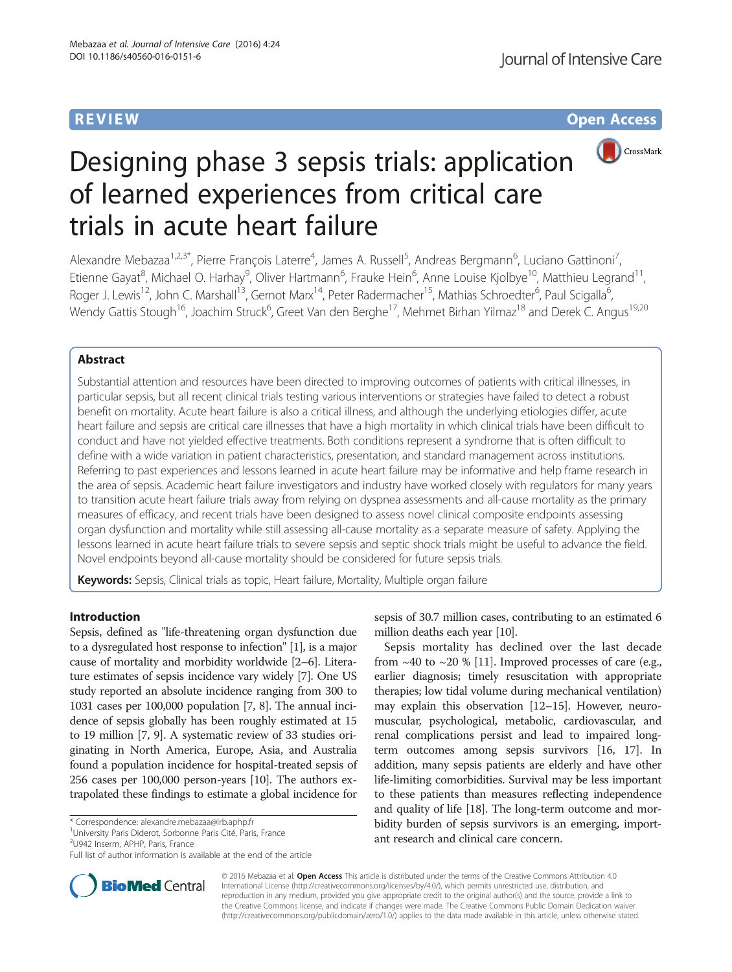**REVIEW CONSTRUCTION CONSTRUCTION CONSTRUCTS** 



# Designing phase 3 sepsis trials: application of learned experiences from critical care trials in acute heart failure

Alexandre Mebazaa<sup>1,2,3\*</sup>, Pierre François Laterre<sup>4</sup>, James A. Russell<sup>5</sup>, Andreas Bergmann<sup>6</sup>, Luciano Gattinoni<sup>7</sup> , Etienne Gayat<sup>8</sup>, Michael O. Harhay<sup>9</sup>, Oliver Hartmann<sup>6</sup>, Frauke Hein<sup>6</sup>, Anne Louise Kjolbye<sup>10</sup>, Matthieu Legrand<sup>11</sup>, Roger J. Lewis<sup>12</sup>, John C. Marshall<sup>13</sup>, Gernot Marx<sup>14</sup>, Peter Radermacher<sup>15</sup>, Mathias Schroedter<sup>6</sup>, Paul Scigalla<sup>6</sup> , Wendy Gattis Stough<sup>16</sup>, Joachim Struck<sup>6</sup>, Greet Van den Berghe<sup>17</sup>, Mehmet Birhan Yilmaz<sup>18</sup> and Derek C. Angus<sup>19,20</sup>

# Abstract

Substantial attention and resources have been directed to improving outcomes of patients with critical illnesses, in particular sepsis, but all recent clinical trials testing various interventions or strategies have failed to detect a robust benefit on mortality. Acute heart failure is also a critical illness, and although the underlying etiologies differ, acute heart failure and sepsis are critical care illnesses that have a high mortality in which clinical trials have been difficult to conduct and have not yielded effective treatments. Both conditions represent a syndrome that is often difficult to define with a wide variation in patient characteristics, presentation, and standard management across institutions. Referring to past experiences and lessons learned in acute heart failure may be informative and help frame research in the area of sepsis. Academic heart failure investigators and industry have worked closely with regulators for many years to transition acute heart failure trials away from relying on dyspnea assessments and all-cause mortality as the primary measures of efficacy, and recent trials have been designed to assess novel clinical composite endpoints assessing organ dysfunction and mortality while still assessing all-cause mortality as a separate measure of safety. Applying the lessons learned in acute heart failure trials to severe sepsis and septic shock trials might be useful to advance the field. Novel endpoints beyond all-cause mortality should be considered for future sepsis trials.

Keywords: Sepsis, Clinical trials as topic, Heart failure, Mortality, Multiple organ failure

# Introduction

Sepsis, defined as "life-threatening organ dysfunction due to a dysregulated host response to infection" [[1\]](#page-9-0), is a major cause of mortality and morbidity worldwide [\[2](#page-9-0)–[6\]](#page-9-0). Literature estimates of sepsis incidence vary widely [\[7\]](#page-9-0). One US study reported an absolute incidence ranging from 300 to 1031 cases per 100,000 population [\[7, 8\]](#page-9-0). The annual incidence of sepsis globally has been roughly estimated at 15 to 19 million [\[7, 9\]](#page-9-0). A systematic review of 33 studies originating in North America, Europe, Asia, and Australia found a population incidence for hospital-treated sepsis of 256 cases per 100,000 person-years [[10](#page-9-0)]. The authors extrapolated these findings to estimate a global incidence for

2 U942 Inserm, APHP, Paris, France



Sepsis mortality has declined over the last decade from  $\sim$  40 to  $\sim$  20 % [\[11\]](#page-9-0). Improved processes of care (e.g., earlier diagnosis; timely resuscitation with appropriate therapies; low tidal volume during mechanical ventilation) may explain this observation [\[12](#page-9-0)–[15](#page-9-0)]. However, neuromuscular, psychological, metabolic, cardiovascular, and renal complications persist and lead to impaired longterm outcomes among sepsis survivors [[16, 17\]](#page-9-0). In addition, many sepsis patients are elderly and have other life-limiting comorbidities. Survival may be less important to these patients than measures reflecting independence and quality of life [\[18\]](#page-9-0). The long-term outcome and morbidity burden of sepsis survivors is an emerging, important research and clinical care concern.



© 2016 Mebazaa et al. Open Access This article is distributed under the terms of the Creative Commons Attribution 4.0 International License [\(http://creativecommons.org/licenses/by/4.0/](http://creativecommons.org/licenses/by/4.0/)), which permits unrestricted use, distribution, and reproduction in any medium, provided you give appropriate credit to the original author(s) and the source, provide a link to the Creative Commons license, and indicate if changes were made. The Creative Commons Public Domain Dedication waiver [\(http://creativecommons.org/publicdomain/zero/1.0/](http://creativecommons.org/publicdomain/zero/1.0/)) applies to the data made available in this article, unless otherwise stated.

<sup>\*</sup> Correspondence: [alexandre.mebazaa@lrb.aphp.fr](mailto:alexandre.mebazaa@lrb.aphp.fr) <sup>1</sup>

<sup>&</sup>lt;sup>1</sup>University Paris Diderot, Sorbonne Paris Cité, Paris, France

Full list of author information is available at the end of the article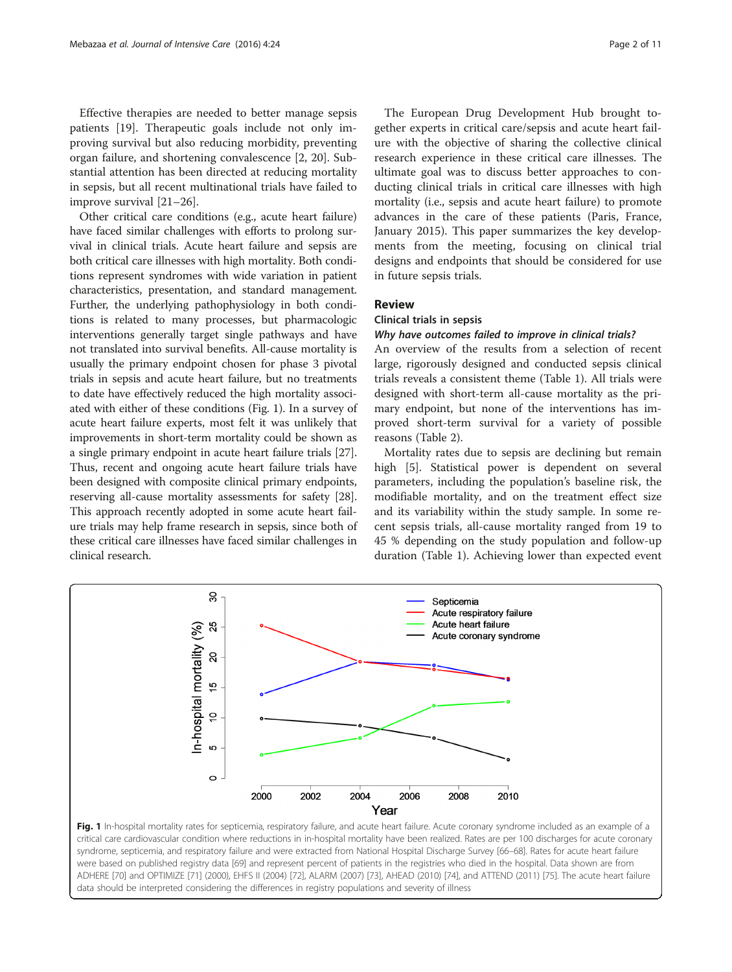Effective therapies are needed to better manage sepsis patients [[19](#page-9-0)]. Therapeutic goals include not only improving survival but also reducing morbidity, preventing organ failure, and shortening convalescence [\[2, 20](#page-9-0)]. Substantial attention has been directed at reducing mortality in sepsis, but all recent multinational trials have failed to improve survival [[21](#page-9-0)–[26\]](#page-9-0).

Other critical care conditions (e.g., acute heart failure) have faced similar challenges with efforts to prolong survival in clinical trials. Acute heart failure and sepsis are both critical care illnesses with high mortality. Both conditions represent syndromes with wide variation in patient characteristics, presentation, and standard management. Further, the underlying pathophysiology in both conditions is related to many processes, but pharmacologic interventions generally target single pathways and have not translated into survival benefits. All-cause mortality is usually the primary endpoint chosen for phase 3 pivotal trials in sepsis and acute heart failure, but no treatments to date have effectively reduced the high mortality associated with either of these conditions (Fig. 1). In a survey of acute heart failure experts, most felt it was unlikely that improvements in short-term mortality could be shown as a single primary endpoint in acute heart failure trials [[27](#page-9-0)]. Thus, recent and ongoing acute heart failure trials have been designed with composite clinical primary endpoints, reserving all-cause mortality assessments for safety [[28](#page-9-0)]. This approach recently adopted in some acute heart failure trials may help frame research in sepsis, since both of these critical care illnesses have faced similar challenges in clinical research.

The European Drug Development Hub brought together experts in critical care/sepsis and acute heart failure with the objective of sharing the collective clinical research experience in these critical care illnesses. The ultimate goal was to discuss better approaches to conducting clinical trials in critical care illnesses with high mortality (i.e., sepsis and acute heart failure) to promote advances in the care of these patients (Paris, France, January 2015). This paper summarizes the key developments from the meeting, focusing on clinical trial designs and endpoints that should be considered for use in future sepsis trials.

# Review

#### Clinical trials in sepsis

#### Why have outcomes failed to improve in clinical trials?

An overview of the results from a selection of recent large, rigorously designed and conducted sepsis clinical trials reveals a consistent theme (Table [1](#page-2-0)). All trials were designed with short-term all-cause mortality as the primary endpoint, but none of the interventions has improved short-term survival for a variety of possible reasons (Table [2\)](#page-4-0).

Mortality rates due to sepsis are declining but remain high [[5\]](#page-9-0). Statistical power is dependent on several parameters, including the population's baseline risk, the modifiable mortality, and on the treatment effect size and its variability within the study sample. In some recent sepsis trials, all-cause mortality ranged from 19 to 45 % depending on the study population and follow-up duration (Table [1\)](#page-2-0). Achieving lower than expected event



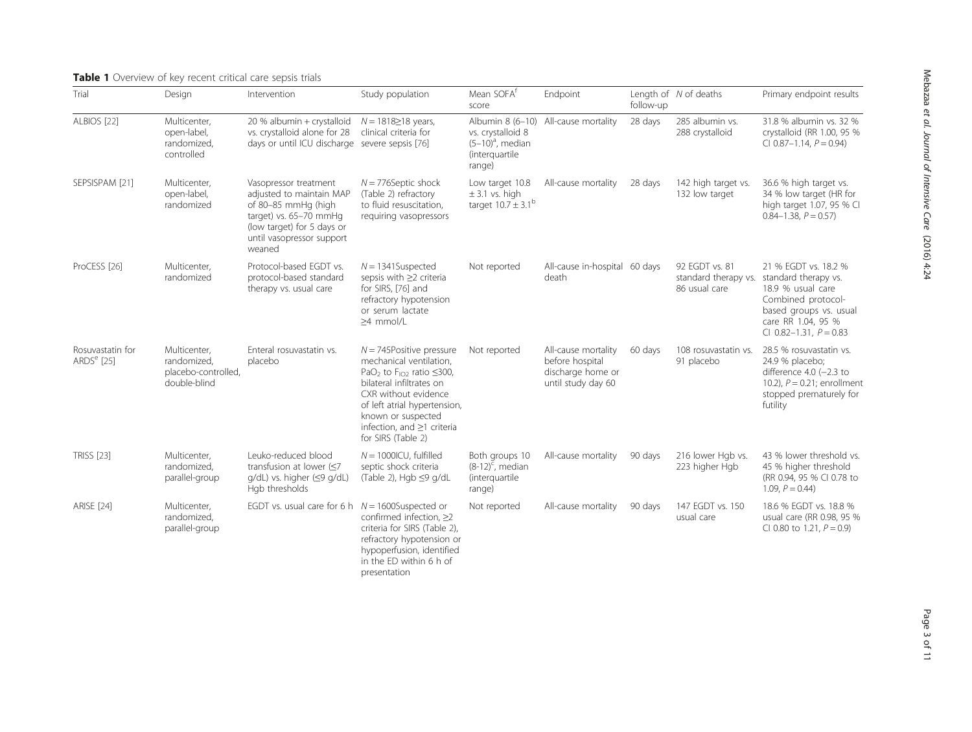# <span id="page-2-0"></span>Table 1 Overview of key recent critical care sepsis trials

| Trial                            | Design                                                             | Intervention                                                                                                                                                            | Study population                                                                                                                                                                                                                                                                     | Mean SOFA <sup>t</sup><br>score                                                                  | Endpoint                                                                          | follow-up | Length of N of deaths                 | Primary endpoint results                                                                                                                                                                 |
|----------------------------------|--------------------------------------------------------------------|-------------------------------------------------------------------------------------------------------------------------------------------------------------------------|--------------------------------------------------------------------------------------------------------------------------------------------------------------------------------------------------------------------------------------------------------------------------------------|--------------------------------------------------------------------------------------------------|-----------------------------------------------------------------------------------|-----------|---------------------------------------|------------------------------------------------------------------------------------------------------------------------------------------------------------------------------------------|
| ALBIOS [22]                      | Multicenter,<br>open-label,<br>randomized,<br>controlled           | 20 % albumin + crystalloid<br>vs. crystalloid alone for 28<br>days or until ICU discharge severe sepsis [76]                                                            | $N = 1818 \ge 18$ years,<br>clinical criteria for                                                                                                                                                                                                                                    | Albumin 8 (6-10)<br>vs. crystalloid 8<br>$(5-10)^a$ , median<br><i>(interquartile)</i><br>range) | All-cause mortality                                                               | 28 days   | 285 albumin vs.<br>288 crystalloid    | 31.8 % albumin vs. 32 %<br>crystalloid (RR 1.00, 95 %<br>CI 0.87-1.14, $P = 0.94$ )                                                                                                      |
| SEPSISPAM [21]                   | Multicenter,<br>open-label,<br>randomized                          | Vasopressor treatment<br>adjusted to maintain MAP<br>of 80-85 mmHg (high<br>target) vs. 65-70 mmHg<br>(low target) for 5 days or<br>until vasopressor support<br>weaned | $N = 776$ Septic shock<br>(Table 2) refractory<br>to fluid resuscitation,<br>requiring vasopressors                                                                                                                                                                                  | Low target 10.8<br>$\pm$ 3.1 vs. high<br>target $10.7 \pm 3.1^{\rm b}$                           | All-cause mortality                                                               | 28 days   | 142 high target vs.<br>132 low target | 36.6 % high target vs.<br>34 % low target (HR for<br>high target 1.07, 95 % Cl<br>$0.84 - 1.38$ , $P = 0.57$ )                                                                           |
| ProCESS [26]                     | Multicenter.<br>randomized                                         | Protocol-based EGDT vs.<br>protocol-based standard<br>therapy vs. usual care                                                                                            | $N = 1341$ Suspected<br>sepsis with ≥2 criteria<br>for SIRS, [76] and<br>refractory hypotension<br>or serum lactate<br>$\geq4$ mmol/L                                                                                                                                                | Not reported                                                                                     | All-cause in-hospital 60 days<br>death                                            |           | 92 EGDT vs. 81<br>86 usual care       | 21 % EGDT vs. 18.2 %<br>standard therapy vs. standard therapy vs.<br>18.9 % usual care<br>Combined protocol-<br>based groups vs. usual<br>care RR 1.04, 95 %<br>CI 0.82-1.31, $P = 0.83$ |
| Rosuvastatin for<br>$ARDSe$ [25] | Multicenter,<br>randomized.<br>placebo-controlled,<br>double-blind | Enteral rosuvastatin vs.<br>placebo                                                                                                                                     | $N = 745$ Positive pressure<br>mechanical ventilation.<br>PaO <sub>2</sub> to F <sub>IO2</sub> ratio $\leq$ 300,<br>bilateral infiltrates on<br>CXR without evidence<br>of left atrial hypertension,<br>known or suspected<br>infection, and $\geq$ 1 criteria<br>for SIRS (Table 2) | Not reported                                                                                     | All-cause mortality<br>before hospital<br>discharge home or<br>until study day 60 | 60 days   | 108 rosuvastatin vs.<br>91 placebo    | 28.5 % rosuvastatin vs.<br>24.9 % placebo;<br>difference $4.0$ (-2.3 to<br>10.2), $P = 0.21$ ; enrollment<br>stopped prematurely for<br>futility                                         |
| <b>TRISS [23]</b>                | Multicenter,<br>randomized.<br>parallel-group                      | Leuko-reduced blood<br>transfusion at lower $( \leq 7)$<br>g/dL) vs. higher (≤9 g/dL)<br>Hgb thresholds                                                                 | $N = 1000$ ICU, fulfilled<br>septic shock criteria<br>(Table 2), Hgb $\leq$ 9 g/dL                                                                                                                                                                                                   | Both groups 10<br>$(8-12)^c$ , median<br><i>(interquartile</i><br>range)                         | All-cause mortality                                                               | 90 days   | 216 lower Hgb vs.<br>223 higher Hgb   | 43 % lower threshold vs.<br>45 % higher threshold<br>(RR 0.94, 95 % CI 0.78 to<br>1.09, $P = 0.44$                                                                                       |
| <b>ARISE</b> [24]                | Multicenter,<br>randomized,<br>parallel-group                      | EGDT vs. usual care for 6 h $N = 1600$ Suspected or                                                                                                                     | confirmed infection, $\geq$ 2<br>criteria for SIRS (Table 2),<br>refractory hypotension or<br>hypoperfusion, identified<br>in the ED within 6 h of<br>presentation                                                                                                                   | Not reported                                                                                     | All-cause mortality                                                               | 90 days   | 147 EGDT vs. 150<br>usual care        | 18.6 % EGDT vs. 18.8 %<br>usual care (RR 0.98, 95 %<br>CI 0.80 to 1.21, $P = 0.9$ )                                                                                                      |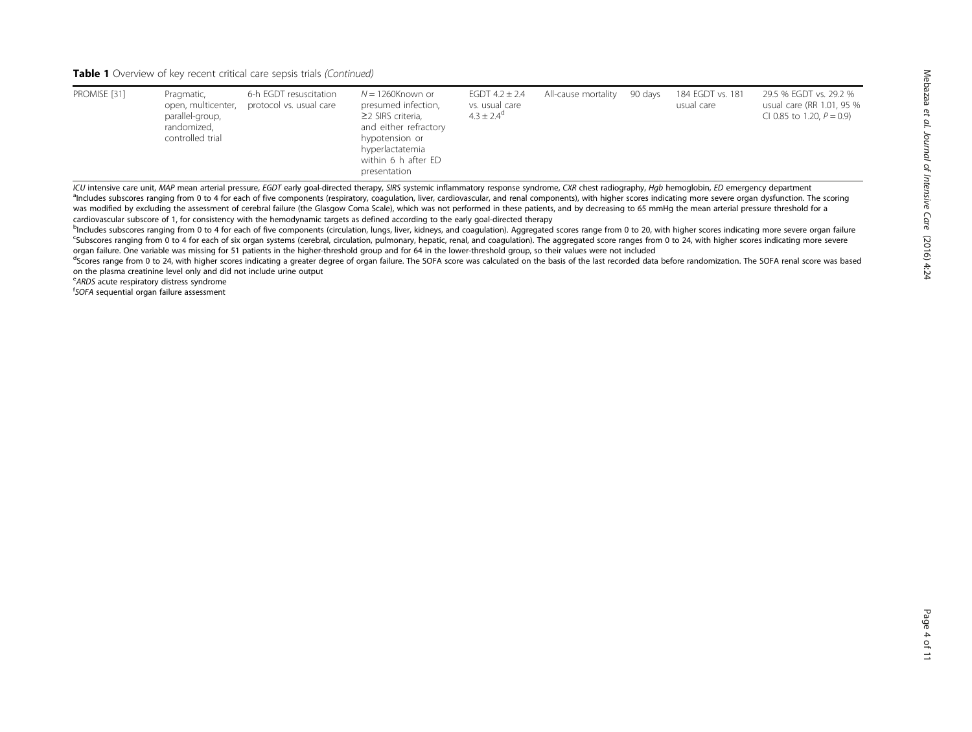Table 1 Overview of key recent critical care sepsis trials (Continued)

| PROMISE [31] | Pragmatic,<br>open, multicenter,<br>parallel-group,<br>randomized,<br>controlled trial | 6-h EGDT resuscitation<br>protocol vs. usual care | $N = 1260$ Known or<br>presumed infection,<br>$\geq$ 2 SIRS criteria,<br>and either refractory<br>hypotension or<br>hyperlactatemia<br>within 6 h after ED<br>presentation | EGDT 4.2 $\pm$ 2.4<br>vs. usual care<br>$4.3 \pm 2.4^{\circ}$ | All-cause mortality | 90 days | 184 EGDT vs. 181<br>usual care | 29.5 % EGDT vs. 29.2 %<br>usual care (RR 1.01, 95 %<br>CI 0.85 to 1.20, $P = 0.9$ ) |
|--------------|----------------------------------------------------------------------------------------|---------------------------------------------------|----------------------------------------------------------------------------------------------------------------------------------------------------------------------------|---------------------------------------------------------------|---------------------|---------|--------------------------------|-------------------------------------------------------------------------------------|
|--------------|----------------------------------------------------------------------------------------|---------------------------------------------------|----------------------------------------------------------------------------------------------------------------------------------------------------------------------------|---------------------------------------------------------------|---------------------|---------|--------------------------------|-------------------------------------------------------------------------------------|

ICU intensive care unit, MAP mean arterial pressure, EGDT early goal-directed therapy, SIRS systemic inflammatory response syndrome, CXR chest radiography, Hgb hemoglobin, ED emergency department alncludes subscores ranging from 0 to 4 for each of five components (respiratory, coagulation, liver, cardiovascular, and renal components), with higher scores indicating more severe organ dysfunction. The scoring was modified by excluding the assessment of cerebral failure (the Glasgow Coma Scale), which was not performed in these patients, and by decreasing to 65 mmHg the mean arterial pressure threshold for a cardiovascular subscore of 1, for consistency with the hemodynamic targets as defined according to the early goal-directed therapy

bincludes subscores ranging from 0 to 4 for each of five components (circulation, lungs, liver, kidneys, and coagulation). Aggregated scores range from 0 to 20, with higher scores indicating more severe organ failure contr Subscores ranging from 0 to 4 for each of six organ systems (cerebral, circulation, pulmonary, hepatic, renal, and coagulation). The aggregated score ranges from 0 to 24, with higher scores indicating more severe organ failure. One variable was missing for 51 patients in the higher-threshold group and for 64 in the lower-threshold group, so their values were not included <sup>d</sup>

dScores range from 0 to 24, with higher scores indicating a greater degree of organ failure. The SOFA score was calculated on the basis of the last recorded data before randomization. The SOFA renal score was based on the plasma creatinine level only and did not include urine output

<sup>e</sup> ARDS acute respiratory distress syndrome <sup>e</sup>ARDS acute respiratory distress syndrome<br><sup>f</sup>SOEA sequential organ failure assessment

SOFA sequential organ failure assessment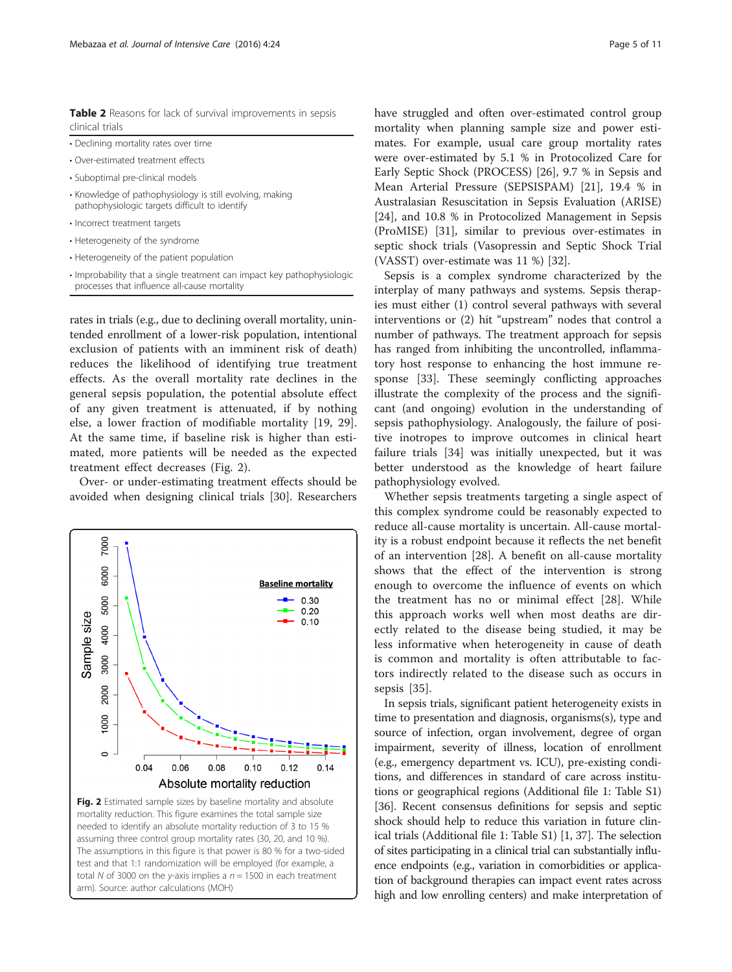<span id="page-4-0"></span>Table 2 Reasons for lack of survival improvements in sepsis clinical trials

- Declining mortality rates over time
- Over-estimated treatment effects
- Suboptimal pre-clinical models
- Knowledge of pathophysiology is still evolving, making pathophysiologic targets difficult to identify
- Incorrect treatment targets
- Heterogeneity of the syndrome
- Heterogeneity of the patient population
- Improbability that a single treatment can impact key pathophysiologic processes that influence all-cause mortality

rates in trials (e.g., due to declining overall mortality, unintended enrollment of a lower-risk population, intentional exclusion of patients with an imminent risk of death) reduces the likelihood of identifying true treatment effects. As the overall mortality rate declines in the general sepsis population, the potential absolute effect of any given treatment is attenuated, if by nothing else, a lower fraction of modifiable mortality [\[19](#page-9-0), [29](#page-9-0)]. At the same time, if baseline risk is higher than estimated, more patients will be needed as the expected treatment effect decreases (Fig. 2).

Over- or under-estimating treatment effects should be avoided when designing clinical trials [[30\]](#page-9-0). Researchers



have struggled and often over-estimated control group mortality when planning sample size and power estimates. For example, usual care group mortality rates were over-estimated by 5.1 % in Protocolized Care for Early Septic Shock (PROCESS) [[26](#page-9-0)], 9.7 % in Sepsis and Mean Arterial Pressure (SEPSISPAM) [[21](#page-9-0)], 19.4 % in Australasian Resuscitation in Sepsis Evaluation (ARISE) [[24\]](#page-9-0), and 10.8 % in Protocolized Management in Sepsis (ProMISE) [\[31](#page-9-0)], similar to previous over-estimates in septic shock trials (Vasopressin and Septic Shock Trial (VASST) over-estimate was 11 %) [[32\]](#page-9-0).

Sepsis is a complex syndrome characterized by the interplay of many pathways and systems. Sepsis therapies must either (1) control several pathways with several interventions or (2) hit "upstream" nodes that control a number of pathways. The treatment approach for sepsis has ranged from inhibiting the uncontrolled, inflammatory host response to enhancing the host immune response [\[33](#page-9-0)]. These seemingly conflicting approaches illustrate the complexity of the process and the significant (and ongoing) evolution in the understanding of sepsis pathophysiology. Analogously, the failure of positive inotropes to improve outcomes in clinical heart failure trials [[34](#page-9-0)] was initially unexpected, but it was better understood as the knowledge of heart failure pathophysiology evolved.

Whether sepsis treatments targeting a single aspect of this complex syndrome could be reasonably expected to reduce all-cause mortality is uncertain. All-cause mortality is a robust endpoint because it reflects the net benefit of an intervention [[28\]](#page-9-0). A benefit on all-cause mortality shows that the effect of the intervention is strong enough to overcome the influence of events on which the treatment has no or minimal effect [\[28](#page-9-0)]. While this approach works well when most deaths are directly related to the disease being studied, it may be less informative when heterogeneity in cause of death is common and mortality is often attributable to factors indirectly related to the disease such as occurs in sepsis [[35\]](#page-9-0).

In sepsis trials, significant patient heterogeneity exists in time to presentation and diagnosis, organisms(s), type and source of infection, organ involvement, degree of organ impairment, severity of illness, location of enrollment (e.g., emergency department vs. ICU), pre-existing conditions, and differences in standard of care across institutions or geographical regions (Additional file [1](#page-8-0): Table S1) [[36](#page-9-0)]. Recent consensus definitions for sepsis and septic shock should help to reduce this variation in future clinical trials (Additional file [1](#page-8-0): Table S1) [\[1, 37](#page-9-0)]. The selection of sites participating in a clinical trial can substantially influence endpoints (e.g., variation in comorbidities or application of background therapies can impact event rates across high and low enrolling centers) and make interpretation of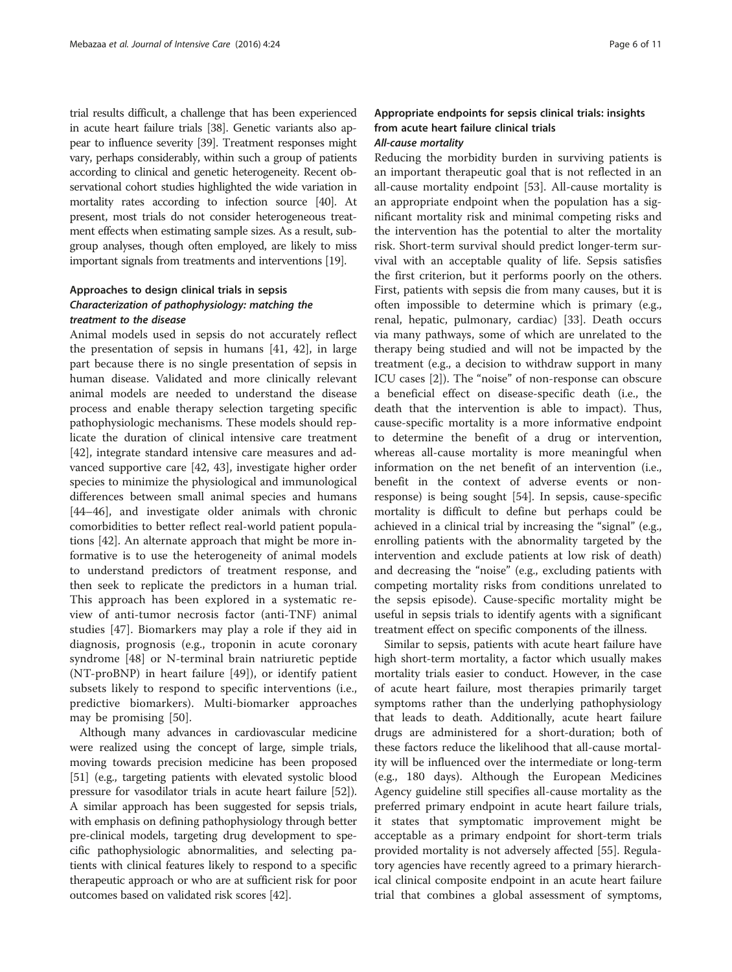trial results difficult, a challenge that has been experienced in acute heart failure trials [\[38\]](#page-9-0). Genetic variants also appear to influence severity [\[39\]](#page-9-0). Treatment responses might vary, perhaps considerably, within such a group of patients according to clinical and genetic heterogeneity. Recent observational cohort studies highlighted the wide variation in mortality rates according to infection source [[40](#page-9-0)]. At present, most trials do not consider heterogeneous treatment effects when estimating sample sizes. As a result, subgroup analyses, though often employed, are likely to miss important signals from treatments and interventions [[19](#page-9-0)].

# Approaches to design clinical trials in sepsis Characterization of pathophysiology: matching the treatment to the disease

Animal models used in sepsis do not accurately reflect the presentation of sepsis in humans [\[41](#page-9-0), [42\]](#page-9-0), in large part because there is no single presentation of sepsis in human disease. Validated and more clinically relevant animal models are needed to understand the disease process and enable therapy selection targeting specific pathophysiologic mechanisms. These models should replicate the duration of clinical intensive care treatment [[42\]](#page-9-0), integrate standard intensive care measures and advanced supportive care [[42](#page-9-0), [43\]](#page-9-0), investigate higher order species to minimize the physiological and immunological differences between small animal species and humans [[44](#page-9-0)–[46](#page-10-0)], and investigate older animals with chronic comorbidities to better reflect real-world patient populations [[42\]](#page-9-0). An alternate approach that might be more informative is to use the heterogeneity of animal models to understand predictors of treatment response, and then seek to replicate the predictors in a human trial. This approach has been explored in a systematic review of anti-tumor necrosis factor (anti-TNF) animal studies [[47\]](#page-10-0). Biomarkers may play a role if they aid in diagnosis, prognosis (e.g., troponin in acute coronary syndrome [[48](#page-10-0)] or N-terminal brain natriuretic peptide (NT-proBNP) in heart failure [\[49](#page-10-0)]), or identify patient subsets likely to respond to specific interventions (i.e., predictive biomarkers). Multi-biomarker approaches may be promising [[50\]](#page-10-0).

Although many advances in cardiovascular medicine were realized using the concept of large, simple trials, moving towards precision medicine has been proposed [[51](#page-10-0)] (e.g., targeting patients with elevated systolic blood pressure for vasodilator trials in acute heart failure [[52](#page-10-0)]). A similar approach has been suggested for sepsis trials, with emphasis on defining pathophysiology through better pre-clinical models, targeting drug development to specific pathophysiologic abnormalities, and selecting patients with clinical features likely to respond to a specific therapeutic approach or who are at sufficient risk for poor outcomes based on validated risk scores [\[42\]](#page-9-0).

# Appropriate endpoints for sepsis clinical trials: insights from acute heart failure clinical trials

# All-cause mortality

Reducing the morbidity burden in surviving patients is an important therapeutic goal that is not reflected in an all-cause mortality endpoint [\[53](#page-10-0)]. All-cause mortality is an appropriate endpoint when the population has a significant mortality risk and minimal competing risks and the intervention has the potential to alter the mortality risk. Short-term survival should predict longer-term survival with an acceptable quality of life. Sepsis satisfies the first criterion, but it performs poorly on the others. First, patients with sepsis die from many causes, but it is often impossible to determine which is primary (e.g., renal, hepatic, pulmonary, cardiac) [[33\]](#page-9-0). Death occurs via many pathways, some of which are unrelated to the therapy being studied and will not be impacted by the treatment (e.g., a decision to withdraw support in many ICU cases [\[2](#page-9-0)]). The "noise" of non-response can obscure a beneficial effect on disease-specific death (i.e., the death that the intervention is able to impact). Thus, cause-specific mortality is a more informative endpoint to determine the benefit of a drug or intervention, whereas all-cause mortality is more meaningful when information on the net benefit of an intervention (i.e., benefit in the context of adverse events or nonresponse) is being sought [[54\]](#page-10-0). In sepsis, cause-specific mortality is difficult to define but perhaps could be achieved in a clinical trial by increasing the "signal" (e.g., enrolling patients with the abnormality targeted by the intervention and exclude patients at low risk of death) and decreasing the "noise" (e.g., excluding patients with competing mortality risks from conditions unrelated to the sepsis episode). Cause-specific mortality might be useful in sepsis trials to identify agents with a significant treatment effect on specific components of the illness.

Similar to sepsis, patients with acute heart failure have high short-term mortality, a factor which usually makes mortality trials easier to conduct. However, in the case of acute heart failure, most therapies primarily target symptoms rather than the underlying pathophysiology that leads to death. Additionally, acute heart failure drugs are administered for a short-duration; both of these factors reduce the likelihood that all-cause mortality will be influenced over the intermediate or long-term (e.g., 180 days). Although the European Medicines Agency guideline still specifies all-cause mortality as the preferred primary endpoint in acute heart failure trials, it states that symptomatic improvement might be acceptable as a primary endpoint for short-term trials provided mortality is not adversely affected [\[55](#page-10-0)]. Regulatory agencies have recently agreed to a primary hierarchical clinical composite endpoint in an acute heart failure trial that combines a global assessment of symptoms,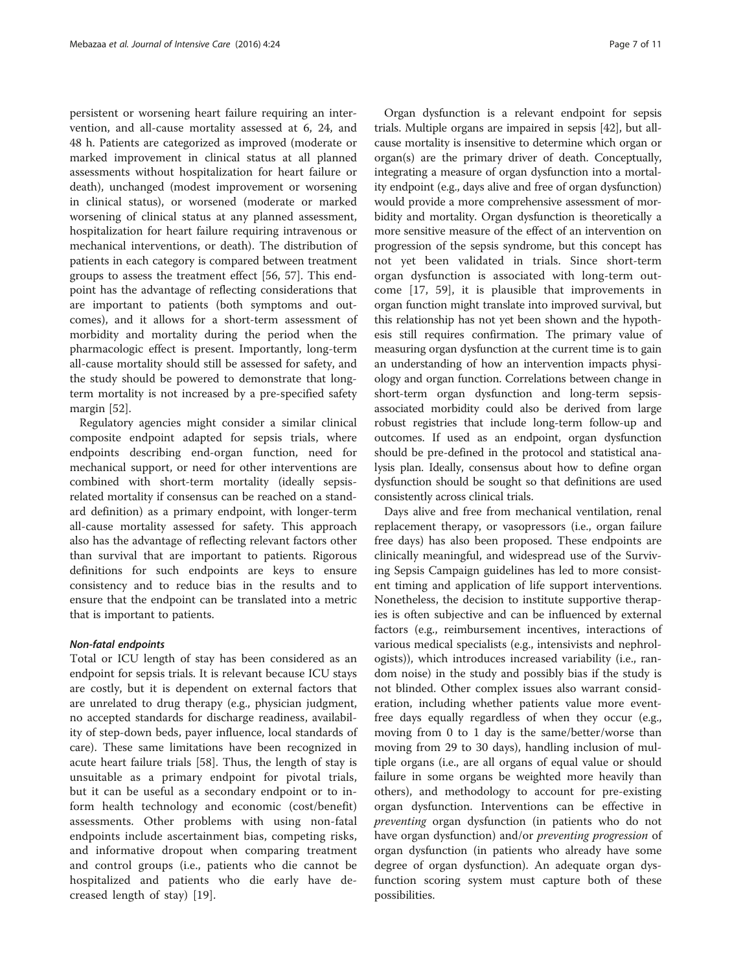persistent or worsening heart failure requiring an intervention, and all-cause mortality assessed at 6, 24, and 48 h. Patients are categorized as improved (moderate or marked improvement in clinical status at all planned assessments without hospitalization for heart failure or death), unchanged (modest improvement or worsening in clinical status), or worsened (moderate or marked worsening of clinical status at any planned assessment, hospitalization for heart failure requiring intravenous or mechanical interventions, or death). The distribution of patients in each category is compared between treatment groups to assess the treatment effect [\[56, 57](#page-10-0)]. This endpoint has the advantage of reflecting considerations that are important to patients (both symptoms and outcomes), and it allows for a short-term assessment of morbidity and mortality during the period when the pharmacologic effect is present. Importantly, long-term all-cause mortality should still be assessed for safety, and the study should be powered to demonstrate that longterm mortality is not increased by a pre-specified safety margin [[52\]](#page-10-0).

Regulatory agencies might consider a similar clinical composite endpoint adapted for sepsis trials, where endpoints describing end-organ function, need for mechanical support, or need for other interventions are combined with short-term mortality (ideally sepsisrelated mortality if consensus can be reached on a standard definition) as a primary endpoint, with longer-term all-cause mortality assessed for safety. This approach also has the advantage of reflecting relevant factors other than survival that are important to patients. Rigorous definitions for such endpoints are keys to ensure consistency and to reduce bias in the results and to ensure that the endpoint can be translated into a metric that is important to patients.

### Non-fatal endpoints

Total or ICU length of stay has been considered as an endpoint for sepsis trials. It is relevant because ICU stays are costly, but it is dependent on external factors that are unrelated to drug therapy (e.g., physician judgment, no accepted standards for discharge readiness, availability of step-down beds, payer influence, local standards of care). These same limitations have been recognized in acute heart failure trials [[58](#page-10-0)]. Thus, the length of stay is unsuitable as a primary endpoint for pivotal trials, but it can be useful as a secondary endpoint or to inform health technology and economic (cost/benefit) assessments. Other problems with using non-fatal endpoints include ascertainment bias, competing risks, and informative dropout when comparing treatment and control groups (i.e., patients who die cannot be hospitalized and patients who die early have decreased length of stay) [\[19](#page-9-0)].

Organ dysfunction is a relevant endpoint for sepsis trials. Multiple organs are impaired in sepsis [\[42\]](#page-9-0), but allcause mortality is insensitive to determine which organ or organ(s) are the primary driver of death. Conceptually, integrating a measure of organ dysfunction into a mortality endpoint (e.g., days alive and free of organ dysfunction) would provide a more comprehensive assessment of morbidity and mortality. Organ dysfunction is theoretically a more sensitive measure of the effect of an intervention on progression of the sepsis syndrome, but this concept has not yet been validated in trials. Since short-term organ dysfunction is associated with long-term outcome [\[17](#page-9-0), [59](#page-10-0)], it is plausible that improvements in organ function might translate into improved survival, but this relationship has not yet been shown and the hypothesis still requires confirmation. The primary value of measuring organ dysfunction at the current time is to gain an understanding of how an intervention impacts physiology and organ function. Correlations between change in short-term organ dysfunction and long-term sepsisassociated morbidity could also be derived from large robust registries that include long-term follow-up and outcomes. If used as an endpoint, organ dysfunction should be pre-defined in the protocol and statistical analysis plan. Ideally, consensus about how to define organ dysfunction should be sought so that definitions are used consistently across clinical trials.

Days alive and free from mechanical ventilation, renal replacement therapy, or vasopressors (i.e., organ failure free days) has also been proposed. These endpoints are clinically meaningful, and widespread use of the Surviving Sepsis Campaign guidelines has led to more consistent timing and application of life support interventions. Nonetheless, the decision to institute supportive therapies is often subjective and can be influenced by external factors (e.g., reimbursement incentives, interactions of various medical specialists (e.g., intensivists and nephrologists)), which introduces increased variability (i.e., random noise) in the study and possibly bias if the study is not blinded. Other complex issues also warrant consideration, including whether patients value more eventfree days equally regardless of when they occur (e.g., moving from 0 to 1 day is the same/better/worse than moving from 29 to 30 days), handling inclusion of multiple organs (i.e., are all organs of equal value or should failure in some organs be weighted more heavily than others), and methodology to account for pre-existing organ dysfunction. Interventions can be effective in preventing organ dysfunction (in patients who do not have organ dysfunction) and/or preventing progression of organ dysfunction (in patients who already have some degree of organ dysfunction). An adequate organ dysfunction scoring system must capture both of these possibilities.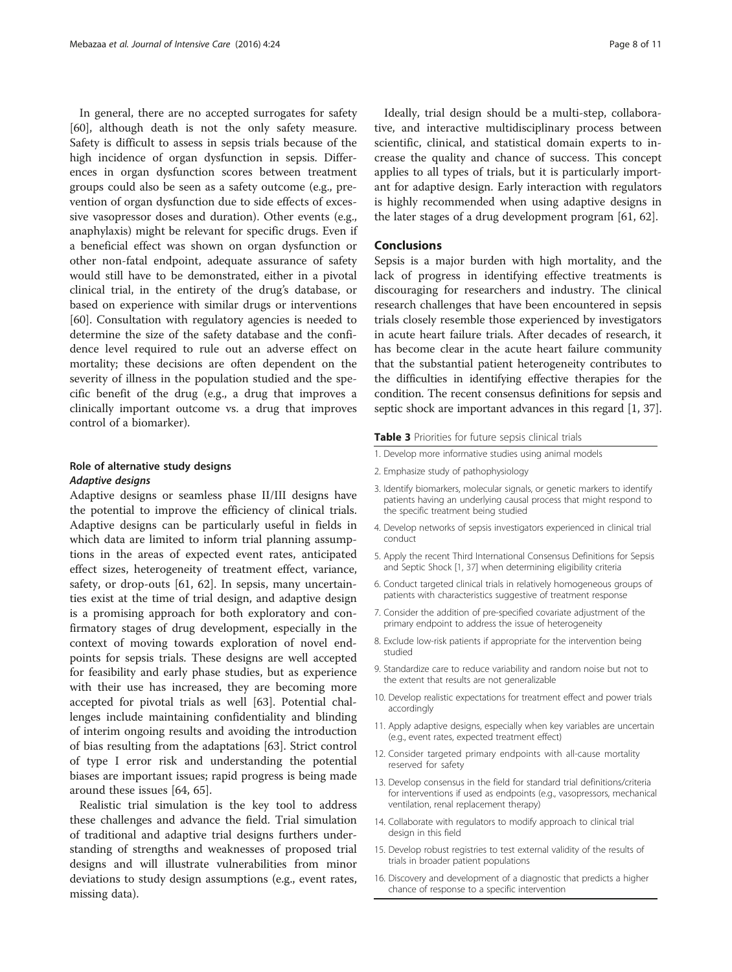<span id="page-7-0"></span>In general, there are no accepted surrogates for safety [[60\]](#page-10-0), although death is not the only safety measure. Safety is difficult to assess in sepsis trials because of the high incidence of organ dysfunction in sepsis. Differences in organ dysfunction scores between treatment groups could also be seen as a safety outcome (e.g., prevention of organ dysfunction due to side effects of excessive vasopressor doses and duration). Other events (e.g., anaphylaxis) might be relevant for specific drugs. Even if a beneficial effect was shown on organ dysfunction or other non-fatal endpoint, adequate assurance of safety would still have to be demonstrated, either in a pivotal clinical trial, in the entirety of the drug's database, or based on experience with similar drugs or interventions [[60\]](#page-10-0). Consultation with regulatory agencies is needed to determine the size of the safety database and the confidence level required to rule out an adverse effect on mortality; these decisions are often dependent on the severity of illness in the population studied and the specific benefit of the drug (e.g., a drug that improves a clinically important outcome vs. a drug that improves control of a biomarker).

# Role of alternative study designs Adaptive designs

Adaptive designs or seamless phase II/III designs have the potential to improve the efficiency of clinical trials. Adaptive designs can be particularly useful in fields in which data are limited to inform trial planning assumptions in the areas of expected event rates, anticipated effect sizes, heterogeneity of treatment effect, variance, safety, or drop-outs [\[61](#page-10-0), [62\]](#page-10-0). In sepsis, many uncertainties exist at the time of trial design, and adaptive design is a promising approach for both exploratory and confirmatory stages of drug development, especially in the context of moving towards exploration of novel endpoints for sepsis trials. These designs are well accepted for feasibility and early phase studies, but as experience with their use has increased, they are becoming more accepted for pivotal trials as well [[63\]](#page-10-0). Potential challenges include maintaining confidentiality and blinding of interim ongoing results and avoiding the introduction of bias resulting from the adaptations [[63\]](#page-10-0). Strict control of type I error risk and understanding the potential biases are important issues; rapid progress is being made around these issues [[64](#page-10-0), [65](#page-10-0)].

Realistic trial simulation is the key tool to address these challenges and advance the field. Trial simulation of traditional and adaptive trial designs furthers understanding of strengths and weaknesses of proposed trial designs and will illustrate vulnerabilities from minor deviations to study design assumptions (e.g., event rates, missing data).

Ideally, trial design should be a multi-step, collaborative, and interactive multidisciplinary process between scientific, clinical, and statistical domain experts to increase the quality and chance of success. This concept applies to all types of trials, but it is particularly important for adaptive design. Early interaction with regulators is highly recommended when using adaptive designs in the later stages of a drug development program [[61, 62](#page-10-0)].

#### Conclusions

Sepsis is a major burden with high mortality, and the lack of progress in identifying effective treatments is discouraging for researchers and industry. The clinical research challenges that have been encountered in sepsis trials closely resemble those experienced by investigators in acute heart failure trials. After decades of research, it has become clear in the acute heart failure community that the substantial patient heterogeneity contributes to the difficulties in identifying effective therapies for the condition. The recent consensus definitions for sepsis and septic shock are important advances in this regard [[1, 37](#page-9-0)].

### Table 3 Priorities for future sepsis clinical trials

- 1. Develop more informative studies using animal models
- 2. Emphasize study of pathophysiology
- 3. Identify biomarkers, molecular signals, or genetic markers to identify patients having an underlying causal process that might respond to the specific treatment being studied
- 4. Develop networks of sepsis investigators experienced in clinical trial conduct
- 5. Apply the recent Third International Consensus Definitions for Sepsis and Septic Shock [\[1,](#page-9-0) [37](#page-9-0)] when determining eligibility criteria
- 6. Conduct targeted clinical trials in relatively homogeneous groups of patients with characteristics suggestive of treatment response
- 7. Consider the addition of pre-specified covariate adjustment of the primary endpoint to address the issue of heterogeneity
- 8. Exclude low-risk patients if appropriate for the intervention being studied
- 9. Standardize care to reduce variability and random noise but not to the extent that results are not generalizable
- 10. Develop realistic expectations for treatment effect and power trials accordingly
- 11. Apply adaptive designs, especially when key variables are uncertain (e.g., event rates, expected treatment effect)
- 12. Consider targeted primary endpoints with all-cause mortality reserved for safety
- 13. Develop consensus in the field for standard trial definitions/criteria for interventions if used as endpoints (e.g., vasopressors, mechanical ventilation, renal replacement therapy)
- 14. Collaborate with regulators to modify approach to clinical trial design in this field
- 15. Develop robust registries to test external validity of the results of trials in broader patient populations
- 16. Discovery and development of a diagnostic that predicts a higher chance of response to a specific intervention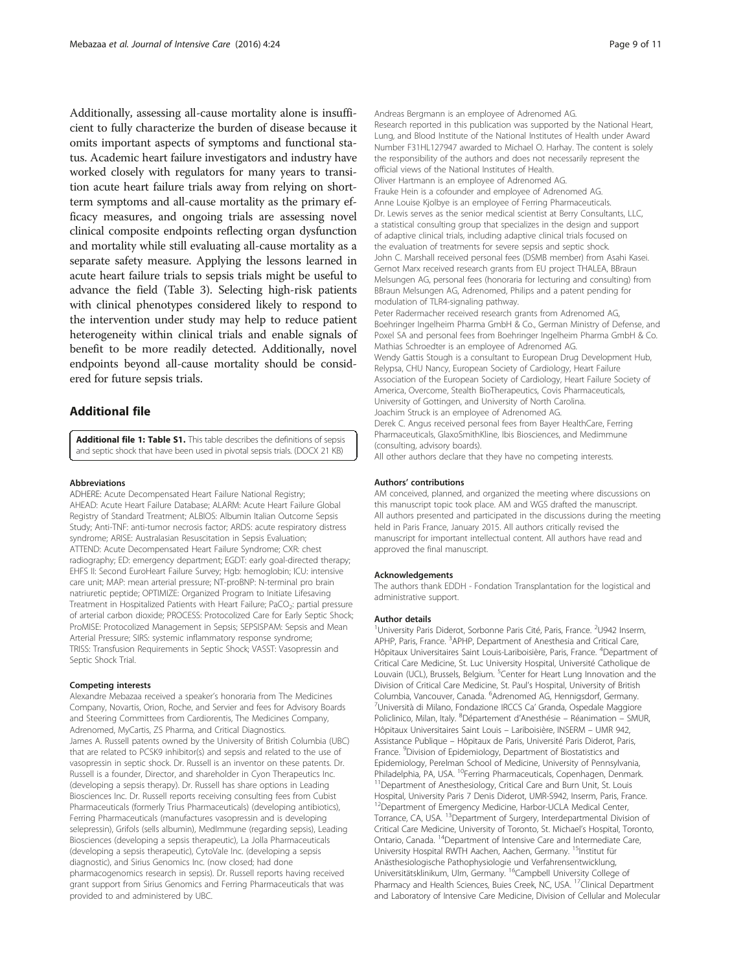<span id="page-8-0"></span>Additionally, assessing all-cause mortality alone is insufficient to fully characterize the burden of disease because it omits important aspects of symptoms and functional status. Academic heart failure investigators and industry have worked closely with regulators for many years to transition acute heart failure trials away from relying on shortterm symptoms and all-cause mortality as the primary efficacy measures, and ongoing trials are assessing novel clinical composite endpoints reflecting organ dysfunction and mortality while still evaluating all-cause mortality as a separate safety measure. Applying the lessons learned in acute heart failure trials to sepsis trials might be useful to advance the field (Table [3\)](#page-7-0). Selecting high-risk patients with clinical phenotypes considered likely to respond to the intervention under study may help to reduce patient heterogeneity within clinical trials and enable signals of benefit to be more readily detected. Additionally, novel endpoints beyond all-cause mortality should be considered for future sepsis trials.

### Additional file

[Additional file 1: Table S1.](dx.doi.org/10.1186/s40560-016-0151-6) This table describes the definitions of sepsis and septic shock that have been used in pivotal sepsis trials. (DOCX 21 KB)

#### Abbreviations

ADHERE: Acute Decompensated Heart Failure National Registry; AHEAD: Acute Heart Failure Database; ALARM: Acute Heart Failure Global Registry of Standard Treatment; ALBIOS: Albumin Italian Outcome Sepsis Study; Anti-TNF: anti-tumor necrosis factor; ARDS: acute respiratory distress syndrome; ARISE: Australasian Resuscitation in Sepsis Evaluation; ATTEND: Acute Decompensated Heart Failure Syndrome; CXR: chest radiography; ED: emergency department; EGDT: early goal-directed therapy; EHFS II: Second EuroHeart Failure Survey; Hgb: hemoglobin; ICU: intensive care unit; MAP: mean arterial pressure; NT-proBNP: N-terminal pro brain natriuretic peptide; OPTIMIZE: Organized Program to Initiate Lifesaving Treatment in Hospitalized Patients with Heart Failure; PaCO<sub>2</sub>: partial pressure of arterial carbon dioxide; PROCESS: Protocolized Care for Early Septic Shock; ProMISE: Protocolized Management in Sepsis; SEPSISPAM: Sepsis and Mean Arterial Pressure; SIRS: systemic inflammatory response syndrome; TRISS: Transfusion Requirements in Septic Shock; VASST: Vasopressin and Septic Shock Trial.

#### Competing interests

Alexandre Mebazaa received a speaker's honoraria from The Medicines Company, Novartis, Orion, Roche, and Servier and fees for Advisory Boards and Steering Committees from Cardiorentis, The Medicines Company, Adrenomed, MyCartis, ZS Pharma, and Critical Diagnostics. James A. Russell patents owned by the University of British Columbia (UBC) that are related to PCSK9 inhibitor(s) and sepsis and related to the use of vasopressin in septic shock. Dr. Russell is an inventor on these patents. Dr. Russell is a founder, Director, and shareholder in Cyon Therapeutics Inc. (developing a sepsis therapy). Dr. Russell has share options in Leading Biosciences Inc. Dr. Russell reports receiving consulting fees from Cubist Pharmaceuticals (formerly Trius Pharmaceuticals) (developing antibiotics), Ferring Pharmaceuticals (manufactures vasopressin and is developing selepressin), Grifols (sells albumin), MedImmune (regarding sepsis), Leading Biosciences (developing a sepsis therapeutic), La Jolla Pharmaceuticals (developing a sepsis therapeutic), CytoVale Inc. (developing a sepsis diagnostic), and Sirius Genomics Inc. (now closed; had done pharmacogenomics research in sepsis). Dr. Russell reports having received grant support from Sirius Genomics and Ferring Pharmaceuticals that was provided to and administered by UBC.

Andreas Bergmann is an employee of Adrenomed AG. Research reported in this publication was supported by the National Heart, Lung, and Blood Institute of the National Institutes of Health under Award Number F31HL127947 awarded to Michael O. Harhay. The content is solely the responsibility of the authors and does not necessarily represent the official views of the National Institutes of Health. Oliver Hartmann is an employee of Adrenomed AG. Frauke Hein is a cofounder and employee of Adrenomed AG. Anne Louise Kjolbye is an employee of Ferring Pharmaceuticals. Dr. Lewis serves as the senior medical scientist at Berry Consultants, LLC, a statistical consulting group that specializes in the design and support of adaptive clinical trials, including adaptive clinical trials focused on the evaluation of treatments for severe sepsis and septic shock. John C. Marshall received personal fees (DSMB member) from Asahi Kasei. Gernot Marx received research grants from EU project THALEA, BBraun Melsungen AG, personal fees (honoraria for lecturing and consulting) from BBraun Melsungen AG, Adrenomed, Philips and a patent pending for modulation of TLR4-signaling pathway. Peter Radermacher received research grants from Adrenomed AG, Boehringer Ingelheim Pharma GmbH & Co., German Ministry of Defense, and Poxel SA and personal fees from Boehringer Ingelheim Pharma GmbH & Co. Mathias Schroedter is an employee of Adrenomed AG. Wendy Gattis Stough is a consultant to European Drug Development Hub, Relypsa, CHU Nancy, European Society of Cardiology, Heart Failure Association of the European Society of Cardiology, Heart Failure Society of America, Overcome, Stealth BioTherapeutics, Covis Pharmaceuticals, University of Gottingen, and University of North Carolina. Joachim Struck is an employee of Adrenomed AG. Derek C. Angus received personal fees from Bayer HealthCare, Ferring Pharmaceuticals, GlaxoSmithKline, Ibis Biosciences, and Medimmune (consulting, advisory boards).

All other authors declare that they have no competing interests.

#### Authors' contributions

AM conceived, planned, and organized the meeting where discussions on this manuscript topic took place. AM and WGS drafted the manuscript. All authors presented and participated in the discussions during the meeting held in Paris France, January 2015. All authors critically revised the manuscript for important intellectual content. All authors have read and approved the final manuscript.

#### Acknowledgements

The authors thank EDDH - Fondation Transplantation for the logistical and administrative support.

#### Author details

<sup>1</sup>University Paris Diderot, Sorbonne Paris Cité, Paris, France. <sup>2</sup>U942 Inserm, APHP, Paris, France. <sup>3</sup>APHP, Department of Anesthesia and Critical Care Hôpitaux Universitaires Saint Louis-Lariboisière, Paris, France. <sup>4</sup>Department of Critical Care Medicine, St. Luc University Hospital, Université Catholique de Louvain (UCL), Brussels, Belgium. <sup>5</sup>Center for Heart Lung Innovation and the Division of Critical Care Medicine, St. Paul's Hospital, University of British Columbia, Vancouver, Canada. <sup>6</sup>Adrenomed AG, Hennigsdorf, Germany.<br><sup>7</sup>Università di Milano, Fondazione IPCCS Ca' Granda. Ospodale Maggior. Università di Milano, Fondazione IRCCS Ca' Granda, Ospedale Maggiore Policlinico, Milan, Italy. <sup>8</sup>Département d'Anesthésie – Réanimation – SMUR Hôpitaux Universitaires Saint Louis – Lariboisière, INSERM – UMR 942, Assistance Publique – Hôpitaux de Paris, Université Paris Diderot, Paris, France. <sup>9</sup> Division of Epidemiology, Department of Biostatistics and Epidemiology, Perelman School of Medicine, University of Pennsylvania, Philadelphia, PA, USA. <sup>10</sup>Ferring Pharmaceuticals, Copenhagen, Denmark.<br><sup>11</sup>Department of Anesthesiology, Critical Care and Burn Unit, St. Louis Hospital, University Paris 7 Denis Diderot, UMR-S942, Inserm, Paris, France. <sup>12</sup>Department of Emergency Medicine, Harbor-UCLA Medical Center, Torrance, CA, USA. <sup>13</sup>Department of Surgery, Interdepartmental Division of Critical Care Medicine, University of Toronto, St. Michael's Hospital, Toronto, Ontario, Canada. 14Department of Intensive Care and Intermediate Care, University Hospital RWTH Aachen, Aachen, Germany. <sup>15</sup>Institut für Anästhesiologische Pathophysiologie und Verfahrensentwicklung,<br>Universitätsklinikum, Ulm, Germany. <sup>16</sup>Campbell University College of Pharmacy and Health Sciences, Buies Creek, NC, USA. <sup>17</sup>Clinical Department and Laboratory of Intensive Care Medicine, Division of Cellular and Molecular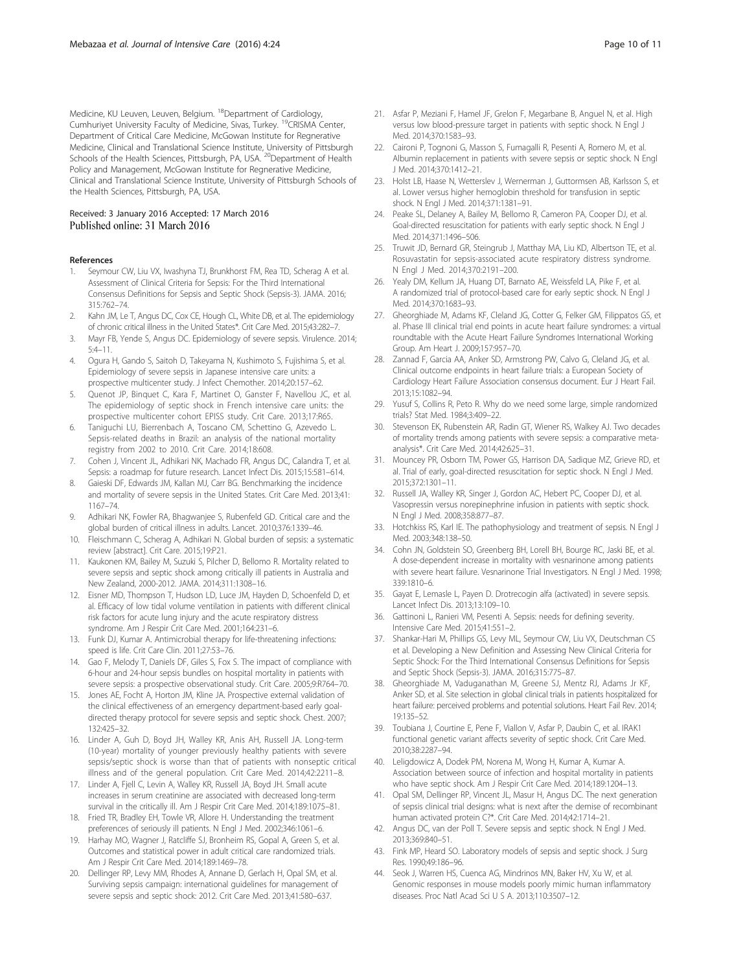<span id="page-9-0"></span>Medicine, KU Leuven, Leuven, Belgium. <sup>18</sup>Department of Cardiology, Cumhuriyet University Faculty of Medicine, Sivas, Turkey. 19CRISMA Center, Department of Critical Care Medicine, McGowan Institute for Regnerative Medicine, Clinical and Translational Science Institute, University of Pittsburgh Schools of the Health Sciences, Pittsburgh, PA, USA. <sup>20</sup>Department of Health Policy and Management, McGowan Institute for Regnerative Medicine, Clinical and Translational Science Institute, University of Pittsburgh Schools of the Health Sciences, Pittsburgh, PA, USA.

#### Received: 3 January 2016 Accepted: 17 March 2016 Published online: 31 March 2016

#### References

- Seymour CW, Liu VX, Iwashyna TJ, Brunkhorst FM, Rea TD, Scherag A et al. Assessment of Clinical Criteria for Sepsis: For the Third International Consensus Definitions for Sepsis and Septic Shock (Sepsis-3). JAMA. 2016; 315:762–74.
- 2. Kahn JM, Le T, Angus DC, Cox CE, Hough CL, White DB, et al. The epidemiology of chronic critical illness in the United States\*. Crit Care Med. 2015;43:282–7.
- 3. Mayr FB, Yende S, Angus DC. Epidemiology of severe sepsis. Virulence. 2014; 5:4–11.
- 4. Ogura H, Gando S, Saitoh D, Takeyama N, Kushimoto S, Fujishima S, et al. Epidemiology of severe sepsis in Japanese intensive care units: a prospective multicenter study. J Infect Chemother. 2014;20:157–62.
- Quenot JP, Binquet C, Kara F, Martinet O, Ganster F, Navellou JC, et al. The epidemiology of septic shock in French intensive care units: the prospective multicenter cohort EPISS study. Crit Care. 2013;17:R65.
- 6. Taniguchi LU, Bierrenbach A, Toscano CM, Schettino G, Azevedo L. Sepsis-related deaths in Brazil: an analysis of the national mortality registry from 2002 to 2010. Crit Care. 2014;18:608.
- 7. Cohen J, Vincent JL, Adhikari NK, Machado FR, Angus DC, Calandra T, et al. Sepsis: a roadmap for future research. Lancet Infect Dis. 2015;15:581–614.
- 8. Gaieski DF, Edwards JM, Kallan MJ, Carr BG. Benchmarking the incidence and mortality of severe sepsis in the United States. Crit Care Med. 2013;41: 1167–74.
- 9. Adhikari NK, Fowler RA, Bhagwanjee S, Rubenfeld GD. Critical care and the global burden of critical illness in adults. Lancet. 2010;376:1339–46.
- 10. Fleischmann C, Scherag A, Adhikari N. Global burden of sepsis: a systematic review [abstract]. Crit Care. 2015;19:P21.
- 11. Kaukonen KM, Bailey M, Suzuki S, Pilcher D, Bellomo R. Mortality related to severe sepsis and septic shock among critically ill patients in Australia and New Zealand, 2000-2012. JAMA. 2014;311:1308–16.
- 12. Eisner MD, Thompson T, Hudson LD, Luce JM, Hayden D, Schoenfeld D, et al. Efficacy of low tidal volume ventilation in patients with different clinical risk factors for acute lung injury and the acute respiratory distress syndrome. Am J Respir Crit Care Med. 2001;164:231–6.
- 13. Funk DJ, Kumar A. Antimicrobial therapy for life-threatening infections: speed is life. Crit Care Clin. 2011;27:53–76.
- 14. Gao F, Melody T, Daniels DF, Giles S, Fox S. The impact of compliance with 6-hour and 24-hour sepsis bundles on hospital mortality in patients with severe sepsis: a prospective observational study. Crit Care. 2005;9:R764–70.
- 15. Jones AE, Focht A, Horton JM, Kline JA. Prospective external validation of the clinical effectiveness of an emergency department-based early goaldirected therapy protocol for severe sepsis and septic shock. Chest. 2007; 132:425–32.
- 16. Linder A, Guh D, Boyd JH, Walley KR, Anis AH, Russell JA. Long-term (10-year) mortality of younger previously healthy patients with severe sepsis/septic shock is worse than that of patients with nonseptic critical illness and of the general population. Crit Care Med. 2014;42:2211–8.
- 17. Linder A, Fjell C, Levin A, Walley KR, Russell JA, Boyd JH. Small acute increases in serum creatinine are associated with decreased long-term survival in the critically ill. Am J Respir Crit Care Med. 2014;189:1075–81.
- 18. Fried TR, Bradley EH, Towle VR, Allore H. Understanding the treatment preferences of seriously ill patients. N Engl J Med. 2002;346:1061–6.
- 19. Harhay MO, Wagner J, Ratcliffe SJ, Bronheim RS, Gopal A, Green S, et al. Outcomes and statistical power in adult critical care randomized trials. Am J Respir Crit Care Med. 2014;189:1469–78.
- 20. Dellinger RP, Levy MM, Rhodes A, Annane D, Gerlach H, Opal SM, et al. Surviving sepsis campaign: international guidelines for management of severe sepsis and septic shock: 2012. Crit Care Med. 2013;41:580–637.
- 21. Asfar P, Meziani F, Hamel JF, Grelon F, Megarbane B, Anguel N, et al. High versus low blood-pressure target in patients with septic shock. N Engl J Med. 2014;370:1583–93.
- 22. Caironi P, Tognoni G, Masson S, Fumagalli R, Pesenti A, Romero M, et al. Albumin replacement in patients with severe sepsis or septic shock. N Engl J Med. 2014;370:1412–21.
- 23. Holst LB, Haase N, Wetterslev J, Wernerman J, Guttormsen AB, Karlsson S, et al. Lower versus higher hemoglobin threshold for transfusion in septic shock. N Engl J Med. 2014;371:1381–91.
- 24. Peake SL, Delaney A, Bailey M, Bellomo R, Cameron PA, Cooper DJ, et al. Goal-directed resuscitation for patients with early septic shock. N Engl J Med. 2014;371:1496–506.
- 25. Truwit JD, Bernard GR, Steingrub J, Matthay MA, Liu KD, Albertson TE, et al. Rosuvastatin for sepsis-associated acute respiratory distress syndrome. N Engl J Med. 2014;370:2191–200.
- 26. Yealy DM, Kellum JA, Huang DT, Barnato AE, Weissfeld LA, Pike F, et al. A randomized trial of protocol-based care for early septic shock. N Engl J Med. 2014;370:1683–93.
- 27. Gheorghiade M, Adams KF, Cleland JG, Cotter G, Felker GM, Filippatos GS, et al. Phase III clinical trial end points in acute heart failure syndromes: a virtual roundtable with the Acute Heart Failure Syndromes International Working Group. Am Heart J. 2009;157:957–70.
- 28. Zannad F, Garcia AA, Anker SD, Armstrong PW, Calvo G, Cleland JG, et al. Clinical outcome endpoints in heart failure trials: a European Society of Cardiology Heart Failure Association consensus document. Eur J Heart Fail. 2013;15:1082–94.
- 29. Yusuf S, Collins R, Peto R. Why do we need some large, simple randomized trials? Stat Med. 1984;3:409–22.
- 30. Stevenson EK, Rubenstein AR, Radin GT, Wiener RS, Walkey AJ. Two decades of mortality trends among patients with severe sepsis: a comparative metaanalysis\*. Crit Care Med. 2014;42:625–31.
- 31. Mouncey PR, Osborn TM, Power GS, Harrison DA, Sadique MZ, Grieve RD, et al. Trial of early, goal-directed resuscitation for septic shock. N Engl J Med. 2015;372:1301–11.
- 32. Russell JA, Walley KR, Singer J, Gordon AC, Hebert PC, Cooper DJ, et al. Vasopressin versus norepinephrine infusion in patients with septic shock. N Engl J Med. 2008;358:877–87.
- 33. Hotchkiss RS, Karl IE. The pathophysiology and treatment of sepsis. N Engl J Med. 2003;348:138–50.
- 34. Cohn JN, Goldstein SO, Greenberg BH, Lorell BH, Bourge RC, Jaski BE, et al. A dose-dependent increase in mortality with vesnarinone among patients with severe heart failure. Vesnarinone Trial Investigators. N Engl J Med. 1998; 339:1810–6.
- 35. Gayat E, Lemasle L, Payen D. Drotrecogin alfa (activated) in severe sepsis. Lancet Infect Dis. 2013;13:109–10.
- 36. Gattinoni L, Ranieri VM, Pesenti A. Sepsis: needs for defining severity. Intensive Care Med. 2015;41:551–2.
- 37. Shankar-Hari M, Phillips GS, Levy ML, Seymour CW, Liu VX, Deutschman CS et al. Developing a New Definition and Assessing New Clinical Criteria for Septic Shock: For the Third International Consensus Definitions for Sepsis and Septic Shock (Sepsis-3). JAMA. 2016;315:775–87.
- 38. Gheorghiade M, Vaduganathan M, Greene SJ, Mentz RJ, Adams Jr KF, Anker SD, et al. Site selection in global clinical trials in patients hospitalized for heart failure: perceived problems and potential solutions. Heart Fail Rev. 2014; 19:135–52.
- 39. Toubiana J, Courtine E, Pene F, Viallon V, Asfar P, Daubin C, et al. IRAK1 functional genetic variant affects severity of septic shock. Crit Care Med. 2010;38:2287–94.
- 40. Leligdowicz A, Dodek PM, Norena M, Wong H, Kumar A, Kumar A. Association between source of infection and hospital mortality in patients who have septic shock. Am J Respir Crit Care Med. 2014;189:1204–13.
- 41. Opal SM, Dellinger RP, Vincent JL, Masur H, Angus DC. The next generation of sepsis clinical trial designs: what is next after the demise of recombinant human activated protein C?\*. Crit Care Med. 2014;42:1714–21.
- 42. Angus DC, van der Poll T. Severe sepsis and septic shock. N Engl J Med. 2013;369:840–51.
- 43. Fink MP, Heard SO. Laboratory models of sepsis and septic shock. J Surg Res. 1990;49:186–96.
- 44. Seok J, Warren HS, Cuenca AG, Mindrinos MN, Baker HV, Xu W, et al. Genomic responses in mouse models poorly mimic human inflammatory diseases. Proc Natl Acad Sci U S A. 2013;110:3507–12.